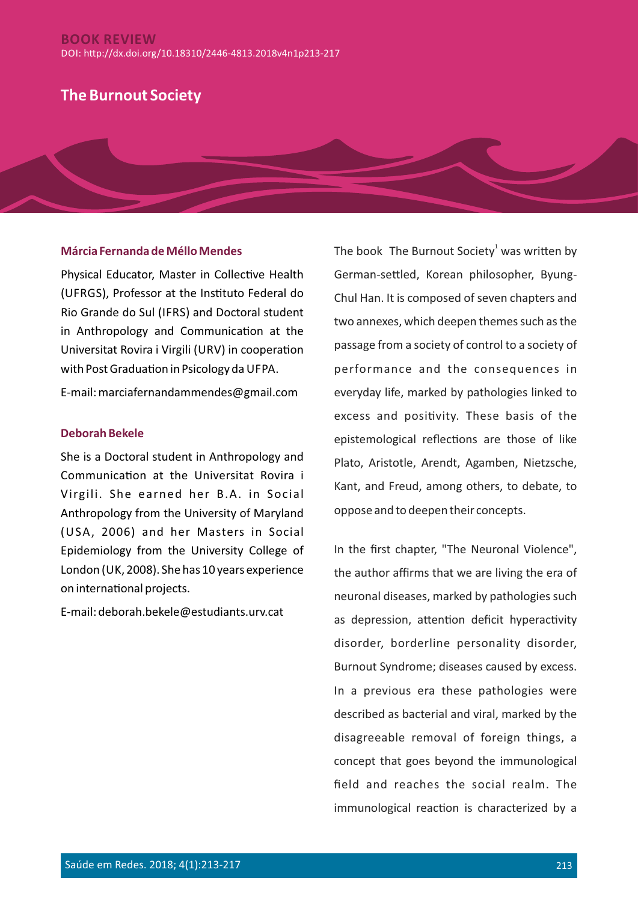## **BOOK REVIEW** DOI: hp://dx.doi.org/10.18310/2446-4813.2018v4n1p213-217

# **The Burnout Society**

#### **Márcia Fernanda de Méllo Mendes**

Physical Educator, Master in Collective Health (UFRGS), Professor at the Instituto Federal do Rio Grande do Sul (IFRS) and Doctoral student in Anthropology and Communication at the Universitat Rovira i Virgili (URV) in cooperation with Post Graduation in Psicology da UFPA.

E-mail: marciafernandammendes@gmail.com

#### **Deborah Bekele**

She is a Doctoral student in Anthropology and Communication at the Universitat Rovira i Virgili. She earned her B.A. in Social Anthropology from the University of Maryland (USA, 2006) and her Masters in Social Epidemiology from the University College of London (UK, 2008). She has 10 years experience on international projects.

E-mail: deborah.bekele@estudiants.urv.cat

The book The Burnout Society<sup>1</sup> was written by German-settled, Korean philosopher, Byung-Chul Han. It is composed of seven chapters and two annexes, which deepen themes such as the passage from a society of control to a society of performance and the consequences in everyday life, marked by pathologies linked to excess and positivity. These basis of the epistemological reflections are those of like Plato, Aristotle, Arendt, Agamben, Nietzsche, Kant, and Freud, among others, to debate, to oppose and to deepen their concepts.

In the first chapter, "The Neuronal Violence", the author affirms that we are living the era of neuronal diseases, marked by pathologies such as depression, attention deficit hyperactivity disorder, borderline personality disorder, Burnout Syndrome; diseases caused by excess. In a previous era these pathologies were described as bacterial and viral, marked by the disagreeable removal of foreign things, a concept that goes beyond the immunological field and reaches the social realm. The immunological reaction is characterized by a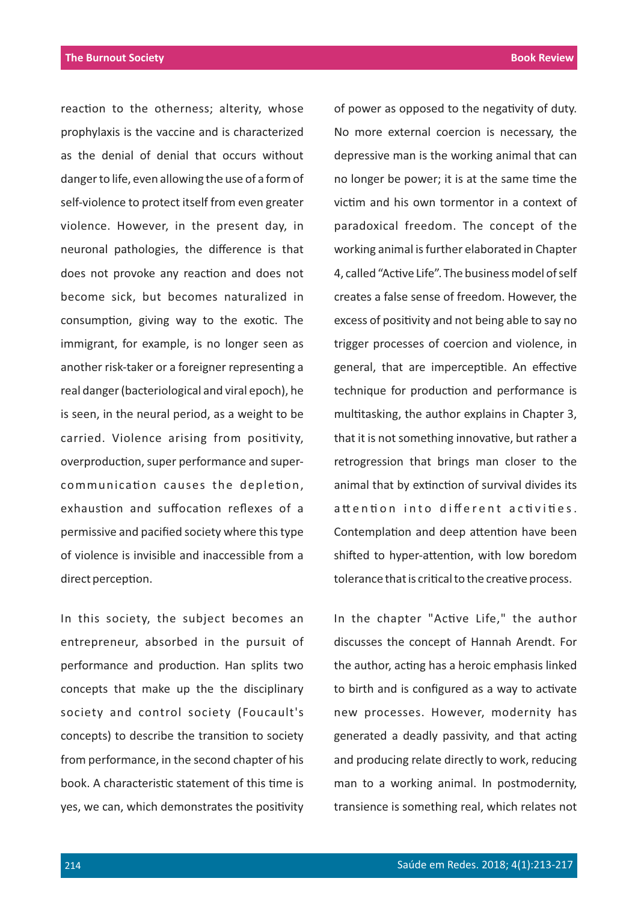reaction to the otherness; alterity, whose prophylaxis is the vaccine and is characterized as the denial of denial that occurs without danger to life, even allowing the use of a form of self-violence to protect itself from even greater violence. However, in the present day, in neuronal pathologies, the difference is that does not provoke any reaction and does not become sick, but becomes naturalized in consumption, giving way to the exotic. The immigrant, for example, is no longer seen as another risk-taker or a foreigner representing a real danger (bacteriological and viral epoch), he is seen, in the neural period, as a weight to be carried. Violence arising from positivity, overproduction, super performance and supercommunication causes the depletion, exhaustion and suffocation reflexes of a permissive and pacified society where this type of violence is invisible and inaccessible from a direct perception.

In this society, the subject becomes an entrepreneur, absorbed in the pursuit of performance and production. Han splits two concepts that make up the the disciplinary society and control society (Foucault's concepts) to describe the transition to society from performance, in the second chapter of his book. A characteristic statement of this time is yes, we can, which demonstrates the positivity depressive man is the working animal that can no longer be power; it is at the same time the victim and his own tormentor in a context of paradoxical freedom. The concept of the working animal is further elaborated in Chapter 4, called "Active Life". The business model of self creates a false sense of freedom. However, the excess of positivity and not being able to say no trigger processes of coercion and violence, in general, that are imperceptible. An effective technique for production and performance is multitasking, the author explains in Chapter 3, that it is not something innovative, but rather a retrogression that brings man closer to the animal that by extinction of survival divides its attention into different activities. Contemplation and deep attention have been shifted to hyper-attention, with low boredom tolerance that is critical to the creative process.

of power as opposed to the negativity of duty.

No more external coercion is necessary, the

In the chapter "Active Life," the author discusses the concept of Hannah Arendt. For the author, acting has a heroic emphasis linked to birth and is configured as a way to activate new processes. However, modernity has generated a deadly passivity, and that acting and producing relate directly to work, reducing man to a working animal. In postmodernity, transience is something real, which relates not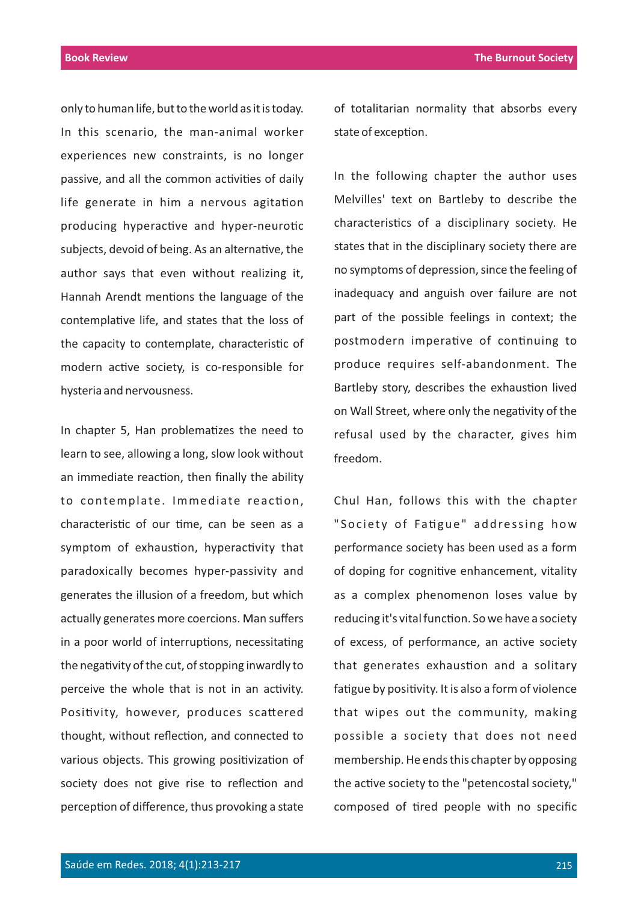only to human life, but to the world as it is today. In this scenario, the man-animal worker experiences new constraints, is no longer passive, and all the common activities of daily life generate in him a nervous agitation producing hyperactive and hyper-neurotic subjects, devoid of being. As an alternative, the author says that even without realizing it, Hannah Arendt mentions the language of the contemplative life, and states that the loss of the capacity to contemplate, characteristic of modern active society, is co-responsible for hysteria and nervousness.

In chapter 5, Han problematizes the need to learn to see, allowing a long, slow look without an immediate reaction, then finally the ability to contemplate. Immediate reaction, characteristic of our time, can be seen as a symptom of exhaustion, hyperactivity that paradoxically becomes hyper-passivity and generates the illusion of a freedom, but which actually generates more coercions. Man suffers in a poor world of interruptions, necessitating the negativity of the cut, of stopping inwardly to perceive the whole that is not in an activity. Positivity, however, produces scattered thought, without reflection, and connected to various objects. This growing positivization of society does not give rise to reflection and perception of difference, thus provoking a state of totalitarian normality that absorbs every state of exception.

In the following chapter the author uses Melvilles' text on Bartleby to describe the characteristics of a disciplinary society. He states that in the disciplinary society there are no symptoms of depression, since the feeling of inadequacy and anguish over failure are not part of the possible feelings in context; the postmodern imperative of continuing to produce requires self-abandonment. The Bartleby story, describes the exhaustion lived on Wall Street, where only the negativity of the refusal used by the character, gives him freedom.

Chul Han, follows this with the chapter "Society of Fatigue" addressing how performance society has been used as a form of doping for cognitive enhancement, vitality as a complex phenomenon loses value by reducing it's vital function. So we have a society of excess, of performance, an active society that generates exhaustion and a solitary fatigue by positivity. It is also a form of violence that wipes out the community, making possible a society that does not need membership. He ends this chapter by opposing the active society to the "petencostal society," composed of tired people with no specific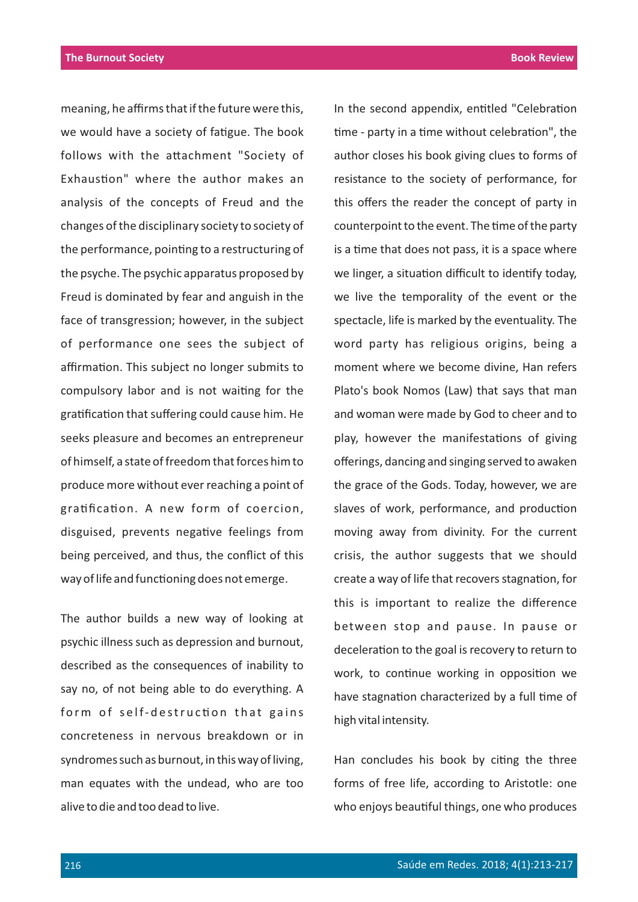meaning, he affirms that if the future were this, we would have a society of fatigue. The book follows with the attachment "Society of Exhaustion" where the author makes an analysis of the concepts of Freud and the changes of the disciplinary society to society of the performance, pointing to a restructuring of the psyche. The psychic apparatus proposed by Freud is dominated by fear and anguish in the face of transgression; however, in the subject of performance one sees the subject of affirmation. This subject no longer submits to compulsory labor and is not waiting for the gratification that suffering could cause him. He seeks pleasure and becomes an entrepreneur of himself, a state of freedom that forces him to produce more without ever reaching a point of gratification. A new form of coercion, disguised, prevents negative feelings from being perceived, and thus, the conflict of this way of life and functioning does not emerge.

The author builds a new way of looking at psychic illness such as depression and burnout, described as the consequences of inability to say no, of not being able to do everything. A form of self-destruction that gains concreteness in nervous breakdown or in syndromes such as burnout, in this way of living, man equates with the undead, who are too alive to die and too dead to live.

In the second appendix, entitled "Celebration time - party in a time without celebration", the author closes his book giving clues to forms of resistance to the society of performance, for this offers the reader the concept of party in counterpoint to the event. The time of the party is a time that does not pass, it is a space where we linger, a situation difficult to identify today, we live the temporality of the event or the spectacle, life is marked by the eventuality. The word party has religious origins, being a moment where we become divine, Han refers Plato's book Nomos (Law) that says that man and woman were made by God to cheer and to play, however the manifestations of giving offerings, dancing and singing served to awaken the grace of the Gods. Today, however, we are slaves of work, performance, and production moving away from divinity. For the current crisis, the author suggests that we should create a way of life that recovers stagnation, for this is important to realize the difference between stop and pause. In pause or deceleration to the goal is recovery to return to work, to continue working in opposition we have stagnation characterized by a full time of high vital intensity.

Han concludes his book by citing the three forms of free life, according to Aristotle: one who enjoys beautiful things, one who produces